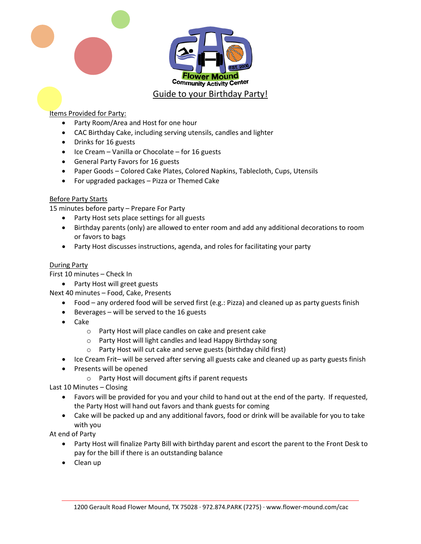

## Items Provided for Party:

- Party Room/Area and Host for one hour
- CAC Birthday Cake, including serving utensils, candles and lighter
- Drinks for 16 guests
- Ice Cream Vanilla or Chocolate for 16 guests
- General Party Favors for 16 guests
- Paper Goods Colored Cake Plates, Colored Napkins, Tablecloth, Cups, Utensils
- For upgraded packages Pizza or Themed Cake

## Before Party Starts

15 minutes before party – Prepare For Party

- Party Host sets place settings for all guests
- Birthday parents (only) are allowed to enter room and add any additional decorations to room or favors to bags
- Party Host discusses instructions, agenda, and roles for facilitating your party

## During Party

First 10 minutes – Check In

• Party Host will greet guests

Next 40 minutes – Food, Cake, Presents

- Food any ordered food will be served first (e.g.: Pizza) and cleaned up as party guests finish
- Beverages will be served to the 16 guests
- Cake
	- o Party Host will place candles on cake and present cake
	- o Party Host will light candles and lead Happy Birthday song
	- o Party Host will cut cake and serve guests (birthday child first)
- Ice Cream Frit– will be served after serving all guests cake and cleaned up as party guests finish
- Presents will be opened
	- o Party Host will document gifts if parent requests

Last 10 Minutes – Closing

- Favors will be provided for you and your child to hand out at the end of the party. If requested, the Party Host will hand out favors and thank guests for coming
- Cake will be packed up and any additional favors, food or drink will be available for you to take with you

At end of Party

- Party Host will finalize Party Bill with birthday parent and escort the parent to the Front Desk to pay for the bill if there is an outstanding balance
- Clean up